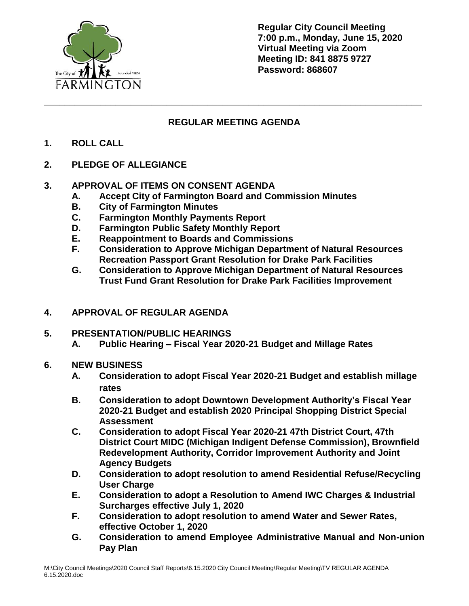

**Regular City Council Meeting 7:00 p.m., Monday, June 15, 2020 Virtual Meeting via Zoom Meeting ID: 841 8875 9727 Password: 868607**

## **REGULAR MEETING AGENDA**

**\_\_\_\_\_\_\_\_\_\_\_\_\_\_\_\_\_\_\_\_\_\_\_\_\_\_\_\_\_\_\_\_\_\_\_\_\_\_\_\_\_\_\_\_\_\_\_\_\_\_\_\_\_\_\_\_\_\_\_\_\_\_\_\_\_\_\_\_\_\_\_\_\_\_**

- **1. ROLL CALL**
- **2. PLEDGE OF ALLEGIANCE**

## **3. APPROVAL OF ITEMS ON CONSENT AGENDA**

- **A. Accept City of Farmington Board and Commission Minutes**
- **B. City of Farmington Minutes**
- **C. Farmington Monthly Payments Report**
- **D. Farmington Public Safety Monthly Report**
- **E. Reappointment to Boards and Commissions**
- **F. Consideration to Approve Michigan Department of Natural Resources Recreation Passport Grant Resolution for Drake Park Facilities**
- **G. Consideration to Approve Michigan Department of Natural Resources Trust Fund Grant Resolution for Drake Park Facilities Improvement**
- **4. APPROVAL OF REGULAR AGENDA**
- **5. PRESENTATION/PUBLIC HEARINGS A. Public Hearing – Fiscal Year 2020-21 Budget and Millage Rates**
- **6. NEW BUSINESS**
	- **A. Consideration to adopt Fiscal Year 2020-21 Budget and establish millage rates**
	- **B. Consideration to adopt Downtown Development Authority's Fiscal Year 2020-21 Budget and establish 2020 Principal Shopping District Special Assessment**
	- **C. Consideration to adopt Fiscal Year 2020-21 47th District Court, 47th District Court MIDC (Michigan Indigent Defense Commission), Brownfield Redevelopment Authority, Corridor Improvement Authority and Joint Agency Budgets**
	- **D. Consideration to adopt resolution to amend Residential Refuse/Recycling User Charge**
	- **E. Consideration to adopt a Resolution to Amend IWC Charges & Industrial Surcharges effective July 1, 2020**
	- **F. Consideration to adopt resolution to amend Water and Sewer Rates, effective October 1, 2020**
	- **G. Consideration to amend Employee Administrative Manual and Non-union Pay Plan**